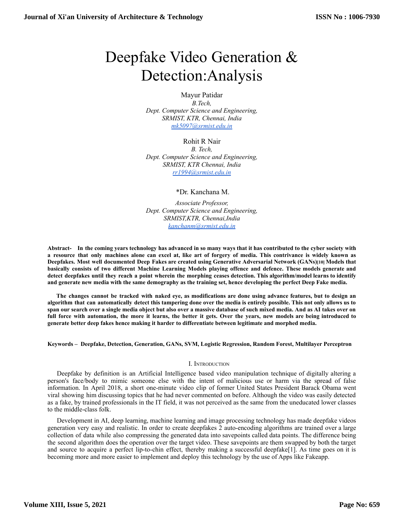# Deepfake Video Generation & Detection:Analysis

## Mayur Patidar *B.Tech, Dept. Computer Science and Engineering, SRMIST, KTR, Chennai, India [mk5097@srmist.edu.in](mailto:mk5097@srmist.edu.in)*

Rohit R Nair *B. Tech, Dept. Computer Science and Engineering, SRMIST, KTR Chennai, India [rr1994@srmist.edu.in](mailto:rr1994@srmist.edu.in)*

\*Dr. Kanchana M.

*Associate Professor, Dept. Computer Science and Engineering, SRMIST,KTR, Chennai,India [kanchanm@srmist.edu.in](mailto:kanchanm@srmist.edu.in)*

Abstract- In the coming years technology has advanced in so many ways that it has contributed to the cyber society with a resource that only machines alone can excel at, like art of forgery of media. This contrivance is widely known as Deepfakes. Most well documented Deep Fakes are created using Generative Adversarial Network (GANs)[10] Models that basically consists of two different Machine Learning Models playing offence and defence. These models generate and detect deepfakes until they reach a point wherein the morphing ceases detection. This algorithm/model learns to identify **and generate new media with the same demography as the training set, hence developing the perfect Deep Fake media.**

The changes cannot be tracked with naked eye, as modifications are done using advance features, but to design an algorithm that can automatically detect this tampering done over the media is entirely possible. This not only allows us to span our search over a single media object but also over a massive database of such mixed media. And as AI takes over on full force with automation, the more it learns, the better it gets. Over the years, new models are being introduced to **generate better deep fakes hence making it harder to differentiate between legitimate and morphed media.**

#### **Keywords – Deepfake, Detection, Generation, GANs, SVM, Logistic Regression, Random Forest, Multilayer Perceptron**

#### I. INTRODUCTION

Deepfake by definition is an Artificial Intelligence based video manipulation technique of digitally altering a person's face/body to mimic someone else with the intent of malicious use or harm via the spread of false information. In April 2018, a short one-minute video clip of former United States President Barack Obama went viral showing him discussing topics that he had never commented on before. Although the video was easily detected as a fake, by trained professionals in the IT field, it was not perceived as the same from the uneducated lower classes to the middle-class folk.

Development in AI, deep learning, machine learning and image processing technology has made deepfake videos generation very easy and realistic. In order to create deepfakes 2 auto-encoding algorithms are trained over a large collection of data while also compressing the generated data into savepoints called data points. The difference being the second algorithm does the operation over the target video. These savepoints are them swapped by both the target and source to acquire a perfect lip-to-chin effect, thereby making a successful deepfake[1]. As time goes on it is becoming more and more easier to implement and deploy this technology by the use of Apps like Fakeapp.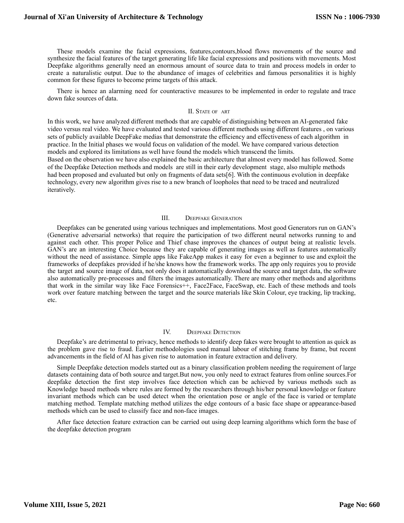These models examine the facial expressions, features,contours,blood flows movements of the source and synthesize the facial features of the target generating life like facial expressions and positions with movements. Most Deepfake algorithms generally need an enormous amount of source data to train and process models in order to create a naturalistic output. Due to the abundance of images of celebrities and famous personalities it is highly common for these figures to become prime targets of this attack.

There is hence an alarming need for counteractive measures to be implemented in order to regulate and trace down fake sources of data.

#### II. STATE OF ART

In this work, we have analyzed different methods that are capable of distinguishing between an AI-generated fake video versus real video. We have evaluated and tested various different methods using different features , on various sets of publicly available DeepFake medias that demonstrate the efficiency and effectiveness of each algorithm in practice. In the Initial phases we would focus on validation of the model. We have compared various detection models and explored its limitations as well have found the models which transcend the limits. Based on the observation we have also explained the basic architecture that almost every model has followed. Some of the Deepfake Detection methods and models are still in their early development stage, also multiple methods had been proposed and evaluated but only on fragments of data sets[6]. With the continuous evolution in deepfake technology, every new algorithm gives rise to a new branch of loopholes that need to be traced and neutralized iteratively.

### III. DEEPFAKE GENERATION

Deepfakes can be generated using various techniques and implementations. Most good Generators run on GAN's (Generative adversarial networks) that require the participation of two different neural networks running to and against each other. This proper Police and Thief chase improves the chances of output being at realistic levels. GAN's are an interesting Choice because they are capable of generating images as well as features automatically without the need of assistance. Simple apps like FakeApp makes it easy for even a beginner to use and exploit the frameworks of deepfakes provided if he/she knows how the framework works. The app only requires you to provide the target and source image of data, not only does it automatically download the source and target data, the software also automatically pre-processes and filters the images automatically. There are many other methods and algorithms that work in the similar way like Face Forensics++, Face2Face, FaceSwap, etc. Each of these methods and tools work over feature matching between the target and the source materials like Skin Colour, eye tracking, lip tracking, etc.

#### IV. DEEPFAKE DETECTION

Deepfake's are detrimental to privacy, hence methods to identify deep fakes were brought to attention as quick as the problem gave rise to fraud. Earlier methodologies used manual labour of stitching frame by frame, but recent advancements in the field of AI has given rise to automation in feature extraction and delivery.

Simple Deepfake detection models started out as a binary classification problem needing the requirement of large datasets containing data of both source and target.But now, you only need to extract features from online sources.For deepfake detection the first step involves face detection which can be achieved by various methods such as Knowledge based methods where rules are formed by the researchers through his/her personal knowledge or feature invariant methods which can be used detect when the orientation pose or angle of the face is varied or template matching method. Template matching method utilizes the edge contours of a basic face shape or appearance-based methods which can be used to classify face and non-face images.

After face detection feature extraction can be carried out using deep learning algorithms which form the base of the deepfake detection program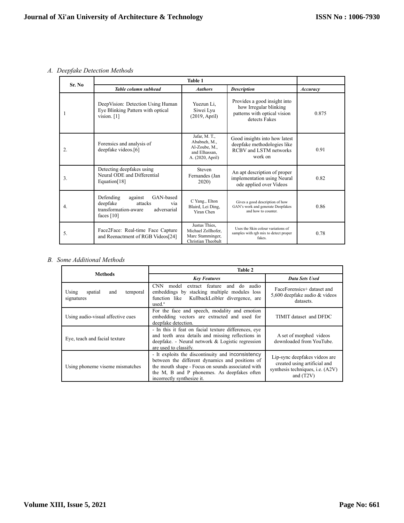*A. Deepfake Detection Methods*

| Sr. No |                                                                                                                        |                                                                                     |                                                                                                          |       |
|--------|------------------------------------------------------------------------------------------------------------------------|-------------------------------------------------------------------------------------|----------------------------------------------------------------------------------------------------------|-------|
|        | Table column subhead                                                                                                   | Accuracy                                                                            |                                                                                                          |       |
|        | DeepVision: Detection Using Human<br>Eye Blinking Pattern with optical<br>vision. $[1]$                                | Yuezun Li,<br>Siwei Lyu<br>(2019, April)                                            | Provides a good insight into<br>how Irregular blinking<br>patterns with optical vision<br>detects Fakes  | 0.875 |
| 2.     | Forensics and analysis of<br>deepfake videos.[6]                                                                       | Jafar, M. T.,<br>Ababneh, M.,<br>Al-Zoube, M.,<br>and Elhassan.<br>A. (2020, April) | Good insights into how latest<br>deepfake methodologies like<br><b>RCBV</b> and LSTM networks<br>work on | 0.91  |
| 3.     | Detecting deepfakes using<br>Neural ODE and Differential<br>Equation[18]                                               | Steven<br>Fernandes (Jan<br>2020)                                                   | An apt description of proper<br>implementation using Neural<br>ode applied over Videos                   | 0.82  |
| 4.     | GAN-based<br>Defending<br>against<br>deepfake<br>attacks<br>via<br>transformation-aware<br>adversarial<br>faces $[10]$ | C Yang., Elton<br>Blaird, Lei Ding,<br>Yiran Chen                                   | Gives a good description of how<br>GAN's work and generate Deepfakes<br>and how to counter               | 0.86  |
| 5.     | Face2Face: Real-time Face Capture<br>and Reenactment of RGB Videos[24]                                                 | Justus Thies.<br>Michael Zollhofer.<br>Marc Stamminger,<br>Christian Theobalt       | Uses the Skin colour variations of<br>samples with rgb mix to detect proper<br>fakes.                    | 0.78  |

## *B. Some Additional Methods*

|                                                   | Table 2                                                                                                                                                                                                                                |                                                                                                                         |  |
|---------------------------------------------------|----------------------------------------------------------------------------------------------------------------------------------------------------------------------------------------------------------------------------------------|-------------------------------------------------------------------------------------------------------------------------|--|
| <b>Methods</b>                                    | <b>Key Features</b>                                                                                                                                                                                                                    | <b>Data Sets Used</b>                                                                                                   |  |
| Using<br>spatial<br>temporal<br>and<br>signatures | CNN model extract feature and do audio<br>embeddings by stacking multiple modules loss<br>function like KullbackLeibler divergence, are<br>used. <sup>a</sup>                                                                          | FaceForensics+ dataset and<br>5,600 deepfake audio $&$ videos<br>datasets.                                              |  |
| Using audio-visual affective cues                 | For the face and speech, modality and emotion<br>embedding vectors are extracted and used for<br>deepfake detection.                                                                                                                   | TIMIT dataset and DFDC                                                                                                  |  |
| Eye, teach and facial texture                     | - In this it feat on facial texture differences, eve<br>and teeth area details and missing reflections in<br>deepfake. - Neural network & Logistic regression<br>are used to classify.                                                 | A set of morphed videos<br>downloaded from YouTube.                                                                     |  |
| Using phoneme viseme mismatches                   | - It exploits the discontinuity and inconsistency<br>between the different dynamics and positions of<br>the mouth shape - Focus on sounds associated with<br>the M, B and P phonemes. As deepfakes often<br>incorrectly synthesize it. | Lip-sync deepfakes videos are<br>created using artificial and<br>synthesis techniques, <i>i.e.</i> (A2V)<br>and $(T2V)$ |  |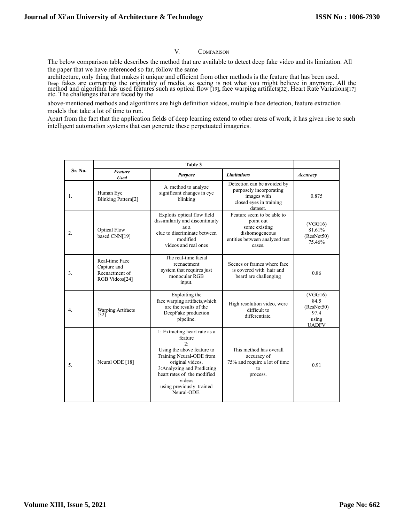### V. COMPARISON

The below comparison table describes the method that are available to detect deep fake video and its limitation. All the paper that we have referenced so far, follow the same

architecture, only thing that makes it unique and efficient from other methods is the feature that has been used. Deep fakes are corrupting the originality of media, as seeing is not what you might believe in anymore. All the method and algorithm has used features such as optical flow [19], face warping artifacts[32], Heart Rate Variations[17] etc. The challenges that are faced by the

above-mentioned methods and algorithms are high definition videos, multiple face detection, feature extraction models that take a lot of time to run.

Apart from the fact that the application fields of deep learning extend to other areas of work, it has given rise to such intelligent automation systems that can generate these perpetuated imageries.

| Sr. No.          | <b>Feature</b><br><b>Used</b>                                     | <b>Purpose</b>                                                                                                                                                                                                                                  | <b>Limitations</b>                                                                                                     | Accuracy                                                       |
|------------------|-------------------------------------------------------------------|-------------------------------------------------------------------------------------------------------------------------------------------------------------------------------------------------------------------------------------------------|------------------------------------------------------------------------------------------------------------------------|----------------------------------------------------------------|
| 1.               | Human Eye<br>Blinking Pattern[2]                                  | A method to analyze<br>significant changes in eye<br>blinking                                                                                                                                                                                   | Detection can be avoided by<br>purposely incorporating<br>images with<br>closed eyes in training<br>dataset.           | 0.875                                                          |
| $\overline{2}$ . | <b>Optical Flow</b><br>based CNN[19]                              | Exploits optical flow field<br>dissimilarity and discontinuity<br>as a<br>clue to discriminate between<br>modified<br>videos and real ones                                                                                                      | Feature seem to be able to<br>point out<br>some existing<br>dishomogeneous<br>entities between analyzed test<br>cases. | (VGG16)<br>81.61%<br>(ResNet50)<br>75.46%                      |
| 3.               | Real-time Face<br>Capture and<br>Reenactment of<br>RGB Videos[24] | The real-time facial<br>reenactment<br>system that requires just<br>monocular RGB<br>input.                                                                                                                                                     | Scenes or frames where face<br>is covered with hair and<br>beard are challenging                                       | 0.86                                                           |
| 4.               | <b>Warping Artifacts</b><br>$\left[32\right]$                     | Exploiting the<br>face warping artifacts, which<br>are the results of the<br>DeepFake production<br>pipeline.                                                                                                                                   | High resolution video, were<br>difficult to<br>differentiate.                                                          | (VGG16)<br>84.5<br>(ResNet50)<br>97.4<br>using<br><b>UADFV</b> |
| 5.               | Neural ODE [18]                                                   | 1: Extracting heart rate as a<br>feature<br>2:<br>Using the above feature to<br>Training Neural-ODE from<br>original videos.<br>3: Analyzing and Predicting<br>heart rates of the modified<br>videos<br>using previously trained<br>Neural-ODE. | This method has overall<br>accuracy of<br>75% and require a lot of time<br>to<br>process.                              | 0.91                                                           |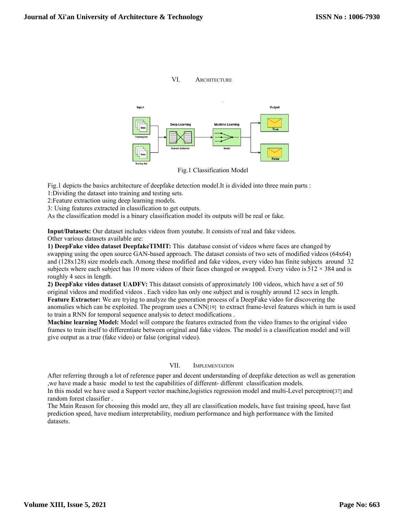

VI. ARCHITECTURE

Fig.1 Classification Model

Fig.1 depicts the basics architecture of deepfake detection model.It is divided into three main parts : 1:Dividing the dataset into training and testing sets.

2:Feature extraction using deep learning models.

3: Using features extracted in classification to get outputs.

As the classification model is a binary classification model its outputs will be real or fake.

**Input/Datasets:** Our dataset includes videos from youtube. It consists of real and fake videos. Other various datasets available are:

**1) DeepFake video dataset DeepfakeTIMIT:** This database consist of videos where faces are changed by swapping using the open source GAN-based approach. The dataset consists of two sets of modified videos (64x64) and (128x128) size models each. Among these modified and fake videos, every video has finite subjects around 32 subjects where each subject has 10 more videos of their faces changed or swapped. Every video is  $512 \times 384$  and is roughly 4 secs in length.

**2) DeepFake video dataset UADFV:** This dataset consists of approximately 100 videos, which have a set of 50 original videos and modified videos . Each video has only one subject and is roughly around 12 secs in length. **Feature Extractor:** We are trying to analyze the generation process of a DeepFake video for discovering the anomalies which can be exploited. The program uses a CNN[19] to extract frame-level features which in turn is used to train a RNN for temporal sequence analysis to detect modifications .

**Machine learning Model:** Model will compare the features extracted from the video frames to the original video frames to train itself to differentiate between original and fake videos. The model is a classification model and will give output as a true (fake video) or false (original video).

## VII. IMPLEMENTATION

After referring through a lot of reference paper and decent understanding of deepfake detection as well as generation ,we have made a basic model to test the capabilities of different- different classification models.

In this model we have used a Support vector machine,logistics regression model and multi-Level perceptron[37] and random forest classifier .

The Main Reason for choosing this model are, they all are classification models, have fast training speed, have fast prediction speed, have medium interpretability, medium performance and high performance with the limited datasets.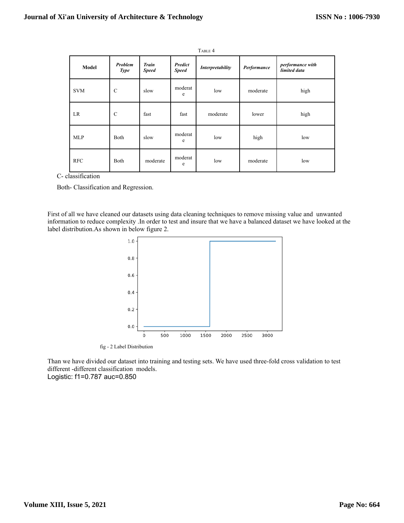| TABLE 4    |                        |                              |                                |                  |             |                                  |
|------------|------------------------|------------------------------|--------------------------------|------------------|-------------|----------------------------------|
| Model      | Problem<br><b>Type</b> | <b>Train</b><br><b>Speed</b> | <b>Predict</b><br><b>Speed</b> | Interpretability | Performance | performance with<br>limited data |
| <b>SVM</b> | $\mathcal{C}$          | slow                         | moderat<br>e                   | low              | moderate    | high                             |
| LR         | $\mathbf C$            | fast                         | fast                           | moderate         | lower       | high                             |
| <b>MLP</b> | Both                   | slow                         | moderat<br>e                   | low              | high        | low                              |
| <b>RFC</b> | Both                   | moderate                     | moderat<br>e                   | low              | moderate    | low                              |

C- classification

Both- Classification and Regression.

First of all we have cleaned our datasets using data cleaning techniques to remove missing value and unwanted information to reduce complexity .In order to test and insure that we have a balanced dataset we have looked at the label distribution.As shown in below figure 2.



fig - 2 Label Distribution

Than we have divided our dataset into training and testing sets. We have used three-fold cross validation to test different -different classification models. Logistic: f1=0.787 auc=0.850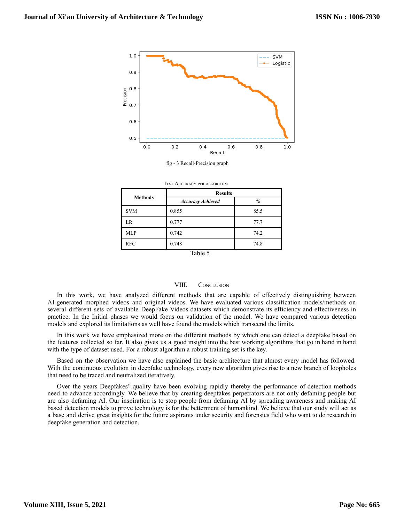

fig - 3 Recall-Precision graph

| <b>Methods</b> | <b>Results</b>           |      |  |  |
|----------------|--------------------------|------|--|--|
|                | <b>Accuracy Achieved</b> | %    |  |  |
| <b>SVM</b>     | 0.855                    | 85.5 |  |  |
| LR             | 0.777                    | 77.7 |  |  |
| <b>MLP</b>     | 0.742                    | 74.2 |  |  |
| <b>RFC</b>     | 0.748                    | 74.8 |  |  |

| <b>TEST ACCURACY PER ALGORITHM</b> |  |
|------------------------------------|--|
|------------------------------------|--|

Table 5

### VIII. CONCLUSION

In this work, we have analyzed different methods that are capable of effectively distinguishing between AI-generated morphed videos and original videos. We have evaluated various classification models/methods on several different sets of available DeepFake Videos datasets which demonstrate its efficiency and effectiveness in practice. In the Initial phases we would focus on validation of the model. We have compared various detection models and explored its limitations as well have found the models which transcend the limits.

In this work we have emphasized more on the different methods by which one can detect a deepfake based on the features collected so far. It also gives us a good insight into the best working algorithms that go in hand in hand with the type of dataset used. For a robust algorithm a robust training set is the key.

Based on the observation we have also explained the basic architecture that almost every model has followed. With the continuous evolution in deepfake technology, every new algorithm gives rise to a new branch of loopholes that need to be traced and neutralized iteratively.

Over the years Deepfakes' quality have been evolving rapidly thereby the performance of detection methods need to advance accordingly. We believe that by creating deepfakes perpetrators are not only defaming people but are also defaming AI. Our inspiration is to stop people from defaming AI by spreading awareness and making AI based detection models to prove technology is for the betterment of humankind. We believe that our study will act as a base and derive great insights for the future aspirants under security and forensics field who want to do research in deepfake generation and detection.